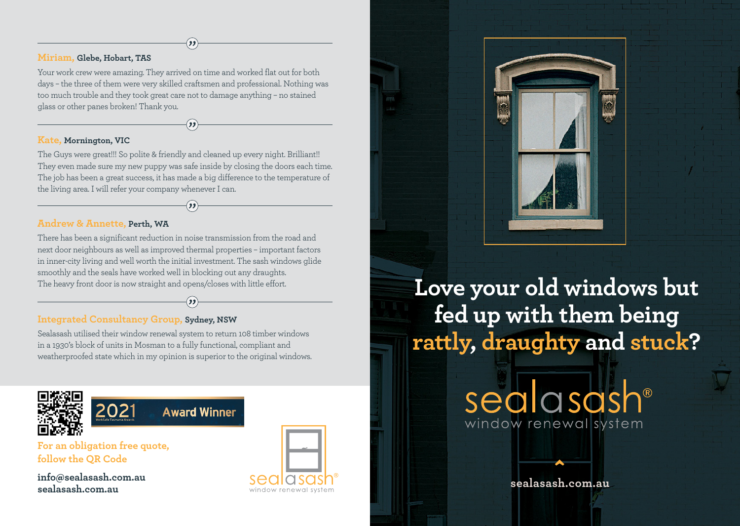### **Miriam, Glebe, Hobart, TAS**

Your work crew were amazing. They arrived on time and worked flat out for both days – the three of them were very skilled craftsmen and professional. Nothing was too much trouble and they took great care not to damage anything – no stained glass or other panes broken! Thank you.

#### **Kate, Mornington, VIC**

The Guys were great!!! So polite & friendly and cleaned up every night. Brilliant!! They even made sure my new puppy was safe inside by closing the doors each time. The job has been a great success, it has made a big difference to the temperature of the living area. I will refer your company whenever I can.

## **Andrew & Annette, Perth, WA**

There has been a significant reduction in noise transmission from the road and next door neighbours as well as improved thermal properties – important factors in inner-city living and well worth the initial investment. The sash windows glide smoothly and the seals have worked well in blocking out any draughts. The heavy front door is now straight and opens/closes with little effort.

## **Integrated Consultancy Group, Sydney, NSW**

Sealasash utilised their window renewal system to return 108 timber windows in a 1930's block of units in Mosman to a fully functional, compliant and weatherproofed state which in my opinion is superior to the original windows.





**For an obligation free quote, follow the QR Code**

**info@sealasash.com.au sealasash.com.au**





**Love your old windows but fed up with them being rattly, draughty and stuck?**

> sealasash® window renewal system

> > **^ sealasash.com.au**